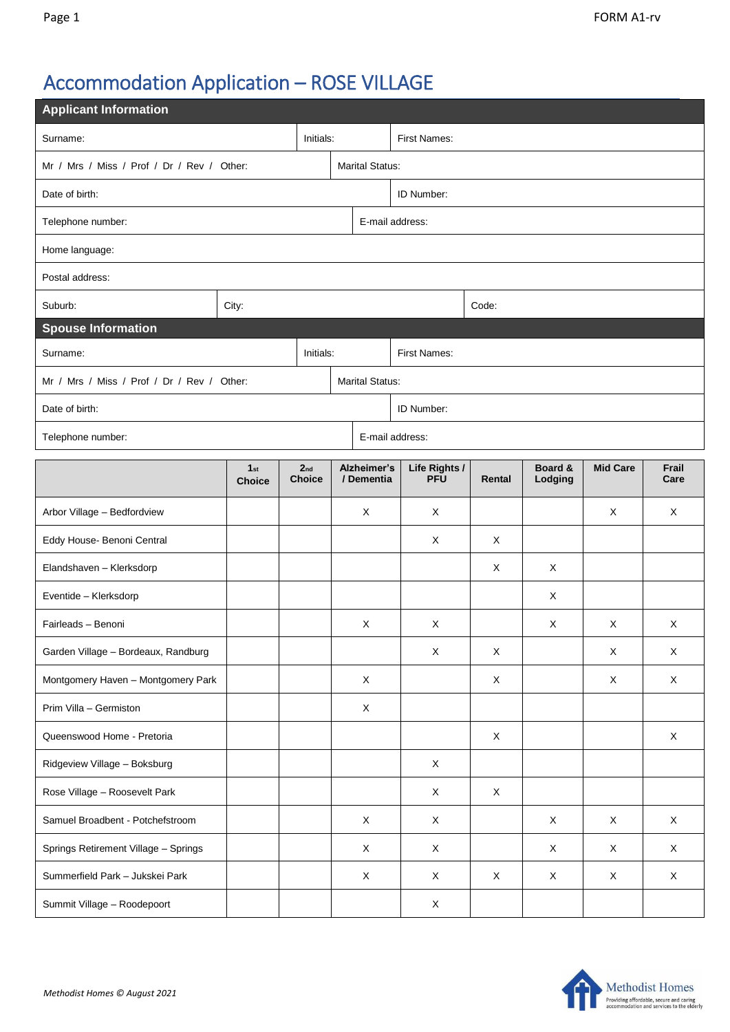## Accommodation Application – ROSE VILLAGE

| <b>Applicant Information</b>               |                                  |                                  |  |                           |                             |                           |                    |                 |               |  |  |  |
|--------------------------------------------|----------------------------------|----------------------------------|--|---------------------------|-----------------------------|---------------------------|--------------------|-----------------|---------------|--|--|--|
| Initials:<br>Surname:                      |                                  |                                  |  | <b>First Names:</b>       |                             |                           |                    |                 |               |  |  |  |
| Mr / Mrs / Miss / Prof / Dr / Rev / Other: |                                  | <b>Marital Status:</b>           |  |                           |                             |                           |                    |                 |               |  |  |  |
| Date of birth:                             |                                  | ID Number:                       |  |                           |                             |                           |                    |                 |               |  |  |  |
| Telephone number:                          |                                  |                                  |  | E-mail address:           |                             |                           |                    |                 |               |  |  |  |
| Home language:                             |                                  |                                  |  |                           |                             |                           |                    |                 |               |  |  |  |
| Postal address:                            |                                  |                                  |  |                           |                             |                           |                    |                 |               |  |  |  |
| Suburb:                                    | City:                            |                                  |  |                           |                             | Code:                     |                    |                 |               |  |  |  |
| <b>Spouse Information</b>                  |                                  |                                  |  |                           |                             |                           |                    |                 |               |  |  |  |
| Initials:<br>Surname:                      |                                  |                                  |  | First Names:              |                             |                           |                    |                 |               |  |  |  |
| Mr / Mrs / Miss / Prof / Dr / Rev / Other: |                                  |                                  |  |                           | <b>Marital Status:</b>      |                           |                    |                 |               |  |  |  |
| Date of birth:                             |                                  |                                  |  | ID Number:                |                             |                           |                    |                 |               |  |  |  |
| E-mail address:<br>Telephone number:       |                                  |                                  |  |                           |                             |                           |                    |                 |               |  |  |  |
|                                            | 1 <sub>st</sub><br><b>Choice</b> | 2 <sub>nd</sub><br><b>Choice</b> |  | Alzheimer's<br>/ Dementia | Life Rights /<br><b>PFU</b> | Rental                    | Board &<br>Lodging | <b>Mid Care</b> | Frail<br>Care |  |  |  |
| Arbor Village - Bedfordview                |                                  |                                  |  | X                         | X                           |                           |                    | X               | X             |  |  |  |
| Eddy House- Benoni Central                 |                                  |                                  |  |                           | X                           | X                         |                    |                 |               |  |  |  |
| Elandshaven - Klerksdorp                   |                                  |                                  |  |                           |                             | X                         | X                  |                 |               |  |  |  |
| Eventide - Klerksdorp                      |                                  |                                  |  |                           |                             |                           | X                  |                 |               |  |  |  |
| Fairleads - Benoni                         |                                  |                                  |  | X                         | Χ                           |                           | X                  | Χ               | X             |  |  |  |
| Garden Village - Bordeaux, Randburg        |                                  |                                  |  |                           | X                           | $\mathsf X$               |                    | X               | X             |  |  |  |
| Montgomery Haven - Montgomery Park         |                                  |                                  |  | X                         |                             | X                         |                    | X               | X             |  |  |  |
| Prim Villa - Germiston                     |                                  |                                  |  | X                         |                             |                           |                    |                 |               |  |  |  |
| Queenswood Home - Pretoria                 |                                  |                                  |  |                           |                             | X                         |                    |                 | X             |  |  |  |
| Ridgeview Village - Boksburg               |                                  |                                  |  |                           | $\boldsymbol{\mathsf{X}}$   |                           |                    |                 |               |  |  |  |
| Rose Village - Roosevelt Park              |                                  |                                  |  |                           | X                           | $\boldsymbol{\mathsf{X}}$ |                    |                 |               |  |  |  |
| Samuel Broadbent - Potchefstroom           |                                  |                                  |  | $\mathsf X$               | $\mathsf X$                 |                           | X                  | X               | X             |  |  |  |
| Springs Retirement Village - Springs       |                                  |                                  |  | X                         | X                           |                           | X                  | Χ               | X             |  |  |  |
| Summerfield Park - Jukskei Park            |                                  |                                  |  | X                         | X                           | X                         | X                  | X               | X             |  |  |  |
| Summit Village - Roodepoort                |                                  |                                  |  |                           | $\mathsf{X}$                |                           |                    |                 |               |  |  |  |

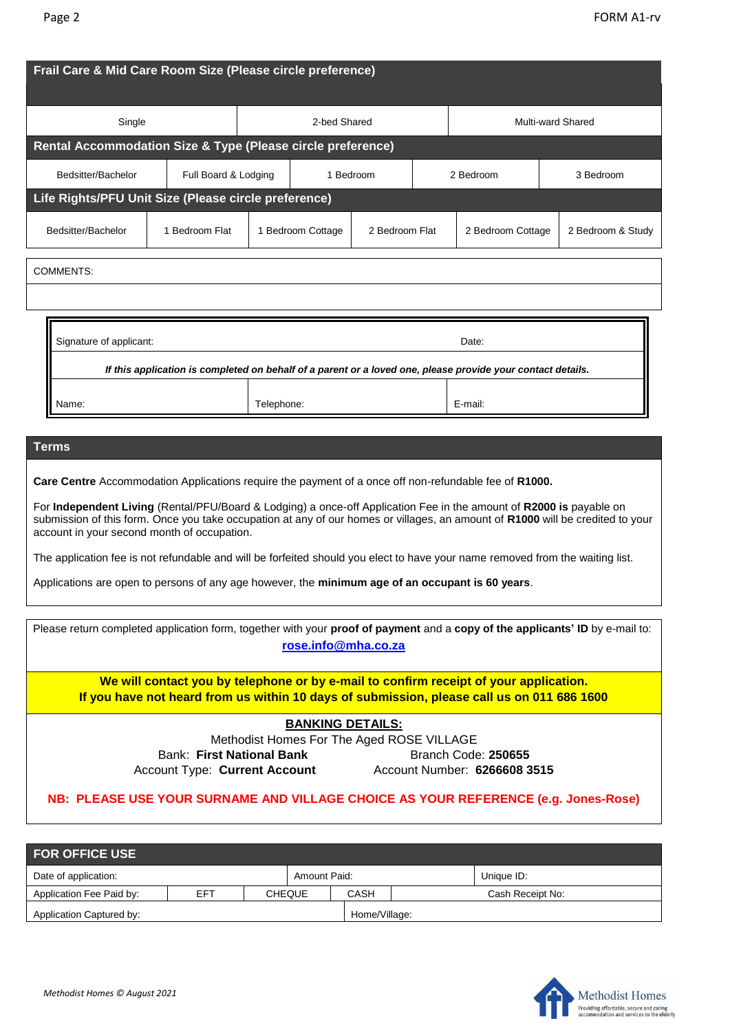| Frail Care & Mid Care Room Size (Please circle preference)                                                                                                                                                                                                                                                                                                                                                                                                                                                                                                                                                                                                         |                                   |  |                   |  |                   |                   |           |                   |  |  |
|--------------------------------------------------------------------------------------------------------------------------------------------------------------------------------------------------------------------------------------------------------------------------------------------------------------------------------------------------------------------------------------------------------------------------------------------------------------------------------------------------------------------------------------------------------------------------------------------------------------------------------------------------------------------|-----------------------------------|--|-------------------|--|-------------------|-------------------|-----------|-------------------|--|--|
| Single                                                                                                                                                                                                                                                                                                                                                                                                                                                                                                                                                                                                                                                             | 2-bed Shared                      |  |                   |  | Multi-ward Shared |                   |           |                   |  |  |
| Rental Accommodation Size & Type (Please circle preference)                                                                                                                                                                                                                                                                                                                                                                                                                                                                                                                                                                                                        |                                   |  |                   |  |                   |                   |           |                   |  |  |
| Bedsitter/Bachelor                                                                                                                                                                                                                                                                                                                                                                                                                                                                                                                                                                                                                                                 | Full Board & Lodging<br>1 Bedroom |  |                   |  | 2 Bedroom         |                   | 3 Bedroom |                   |  |  |
| Life Rights/PFU Unit Size (Please circle preference)                                                                                                                                                                                                                                                                                                                                                                                                                                                                                                                                                                                                               |                                   |  |                   |  |                   |                   |           |                   |  |  |
| Bedsitter/Bachelor                                                                                                                                                                                                                                                                                                                                                                                                                                                                                                                                                                                                                                                 | 1 Bedroom Flat                    |  | 1 Bedroom Cottage |  | 2 Bedroom Flat    | 2 Bedroom Cottage |           | 2 Bedroom & Study |  |  |
| COMMENTS:                                                                                                                                                                                                                                                                                                                                                                                                                                                                                                                                                                                                                                                          |                                   |  |                   |  |                   |                   |           |                   |  |  |
|                                                                                                                                                                                                                                                                                                                                                                                                                                                                                                                                                                                                                                                                    |                                   |  |                   |  |                   |                   |           |                   |  |  |
| Signature of applicant:<br>Date:<br>If this application is completed on behalf of a parent or a loved one, please provide your contact details.                                                                                                                                                                                                                                                                                                                                                                                                                                                                                                                    |                                   |  |                   |  |                   |                   |           |                   |  |  |
| Name:                                                                                                                                                                                                                                                                                                                                                                                                                                                                                                                                                                                                                                                              |                                   |  |                   |  |                   | E-mail:           |           |                   |  |  |
| <b>Terms</b><br>Care Centre Accommodation Applications require the payment of a once off non-refundable fee of R1000.<br>For Independent Living (Rental/PFU/Board & Lodging) a once-off Application Fee in the amount of R2000 is payable on<br>submission of this form. Once you take occupation at any of our homes or villages, an amount of R1000 will be credited to your<br>account in your second month of occupation.<br>The application fee is not refundable and will be forfeited should you elect to have your name removed from the waiting list.<br>Applications are open to persons of any age however, the minimum age of an occupant is 60 years. |                                   |  |                   |  |                   |                   |           |                   |  |  |

| Please return completed application form, together with your proof of payment and a copy of the applicants' ID by e-mail to:<br>rose.info@mha.co.za |                                                                                                                                                                                     |  |  |  |  |  |  |  |
|-----------------------------------------------------------------------------------------------------------------------------------------------------|-------------------------------------------------------------------------------------------------------------------------------------------------------------------------------------|--|--|--|--|--|--|--|
|                                                                                                                                                     | We will contact you by telephone or by e-mail to confirm receipt of your application.<br>If you have not heard from us within 10 days of submission, please call us on 011 686 1600 |  |  |  |  |  |  |  |
| <b>BANKING DETAILS:</b>                                                                                                                             |                                                                                                                                                                                     |  |  |  |  |  |  |  |
| Methodist Homes For The Aged ROSE VILLAGE                                                                                                           |                                                                                                                                                                                     |  |  |  |  |  |  |  |
| Bank: First National Bank                                                                                                                           | Branch Code: 250655                                                                                                                                                                 |  |  |  |  |  |  |  |
| <b>Account Type: Current Account</b>                                                                                                                | Account Number: 6266608 3515                                                                                                                                                        |  |  |  |  |  |  |  |
|                                                                                                                                                     | NB: PLEASE USE YOUR SURNAME AND VILLAGE CHOICE AS YOUR REFERENCE (e.g. Jones-Rose)                                                                                                  |  |  |  |  |  |  |  |

| <b>FOR OFFICE USE</b>    |     |               |               |             |  |                  |  |  |  |
|--------------------------|-----|---------------|---------------|-------------|--|------------------|--|--|--|
| Date of application:     |     |               | Amount Paid:  |             |  | Unique ID:       |  |  |  |
| Application Fee Paid by: | EFT | <b>CHEQUE</b> |               | <b>CASH</b> |  | Cash Receipt No: |  |  |  |
| Application Captured by: |     |               | Home/Village: |             |  |                  |  |  |  |

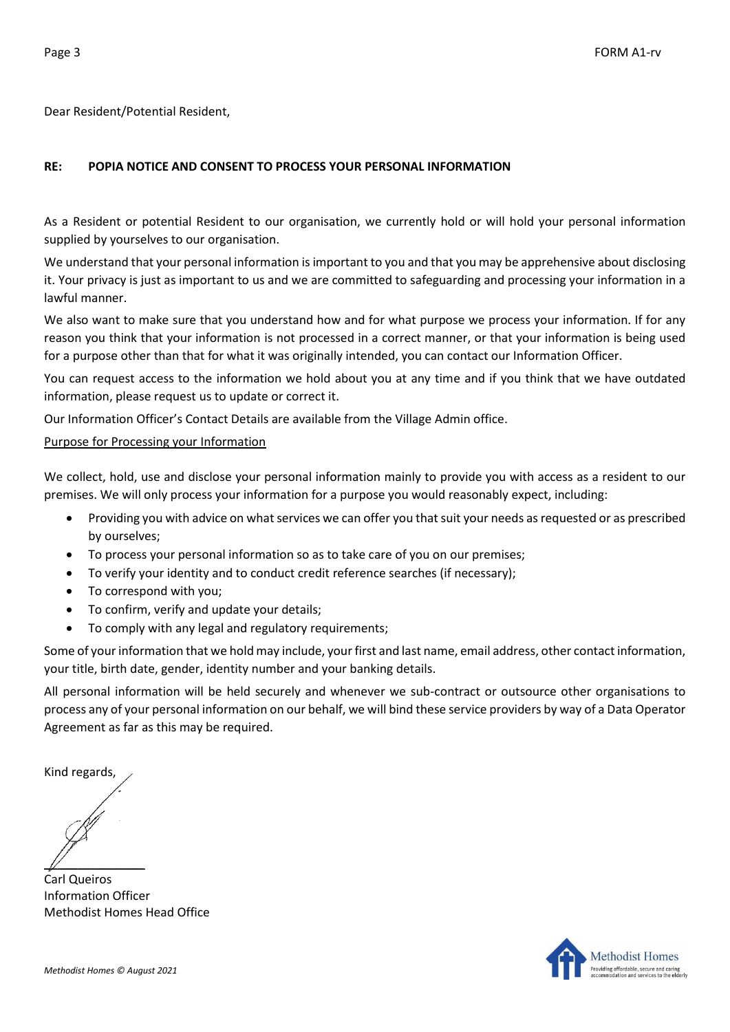Dear Resident/Potential Resident,

## **RE: POPIA NOTICE AND CONSENT TO PROCESS YOUR PERSONAL INFORMATION**

As a Resident or potential Resident to our organisation, we currently hold or will hold your personal information supplied by yourselves to our organisation.

We understand that your personal information is important to you and that you may be apprehensive about disclosing it. Your privacy is just as important to us and we are committed to safeguarding and processing your information in a lawful manner.

We also want to make sure that you understand how and for what purpose we process your information. If for any reason you think that your information is not processed in a correct manner, or that your information is being used for a purpose other than that for what it was originally intended, you can contact our Information Officer.

You can request access to the information we hold about you at any time and if you think that we have outdated information, please request us to update or correct it.

Our Information Officer's Contact Details are available from the Village Admin office.

## Purpose for Processing your Information

We collect, hold, use and disclose your personal information mainly to provide you with access as a resident to our premises. We will only process your information for a purpose you would reasonably expect, including:

- Providing you with advice on what services we can offer you that suit your needs as requested or as prescribed by ourselves;
- To process your personal information so as to take care of you on our premises;
- To verify your identity and to conduct credit reference searches (if necessary);
- To correspond with you;
- To confirm, verify and update your details;
- To comply with any legal and regulatory requirements;

Some of your information that we hold may include, your first and last name, email address, other contact information, your title, birth date, gender, identity number and your banking details.

All personal information will be held securely and whenever we sub-contract or outsource other organisations to process any of your personal information on our behalf, we will bind these service providers by way of a Data Operator Agreement as far as this may be required.

Kind regards,

 $\mathbb{Z}$ 

Carl Queiros Information Officer Methodist Homes Head Office